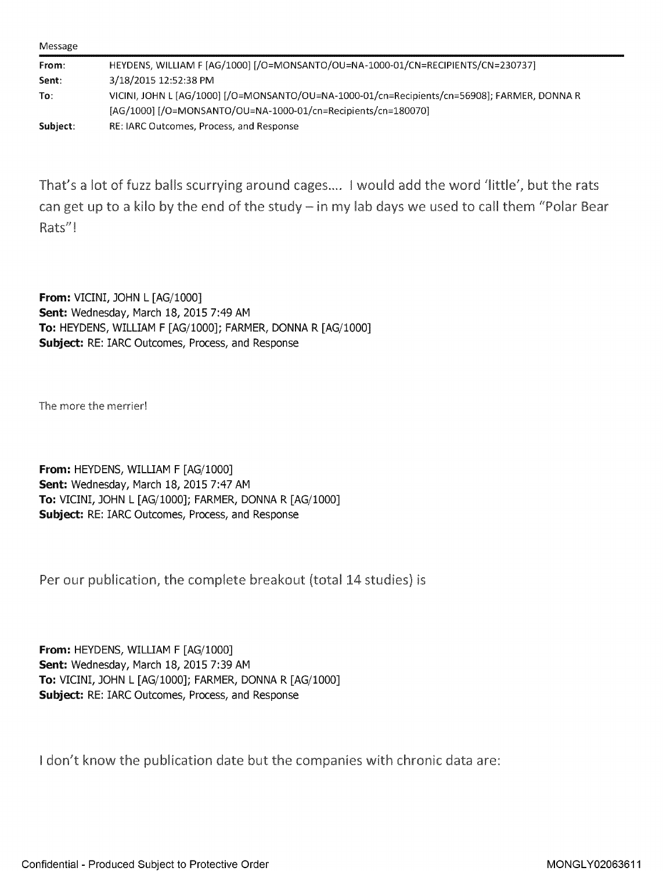| Message  |                                                                                              |
|----------|----------------------------------------------------------------------------------------------|
| From:    | HEYDENS, WILLIAM F [AG/1000] [/O=MONSANTO/OU=NA-1000-01/CN=RECIPIENTS/CN=230737]             |
| Sent:    | 3/18/2015 12:52:38 PM                                                                        |
| To:      | VICINI, JOHN L [AG/1000] [/O=MONSANTO/OU=NA-1000-01/cn=Recipients/cn=56908]; FARMER, DONNA R |
|          | [AG/1000] [/O=MONSANTO/OU=NA-1000-01/cn=Recipients/cn=180070]                                |
| Subject: | RE: IARC Outcomes, Process, and Response                                                     |

That's a lot of fuzz balls scurrying around cages .... ! would add the word 'little', but the rats can get up to a kilo by the end of the study  $-$  in my lab days we used to call them "Polar Bear Rats''!

**From: VICINI, JOHN L [AG/1000] Sent: Wednesday, March 18, 2015 7:49 AM To: HEYDENS, WILLIAM F [AG/1000]; FARMER, DONNA R [AG/1000] Subject: RE: IARC Outcomes, Process, and Response** 

The more the merrier!

**From:** HEYDENS, WILLIAM F [AG/1000] Sent: Wednesday, March 18, 2015 7:47 AM **To:** VICINI, JOHN L [AG/1000]; FARMER, DONNA R [AG/1000] Subject: RE: IARC Outcomes, Process, and Response

Per our publication, the complete breakout (total 14 studies) is

**From:** HEYDENS, WILLIAM F [AG/1000] **Sent: Wednesday, March 18, 2015 7:39 AM To: VICINI, JOHN L [AG/1000]; FARMER, DONNA R [AG/1000] Subject: RE: IARC Outcomes, Process, and Response** 

I don't know the publication date but the companies with chronic data are: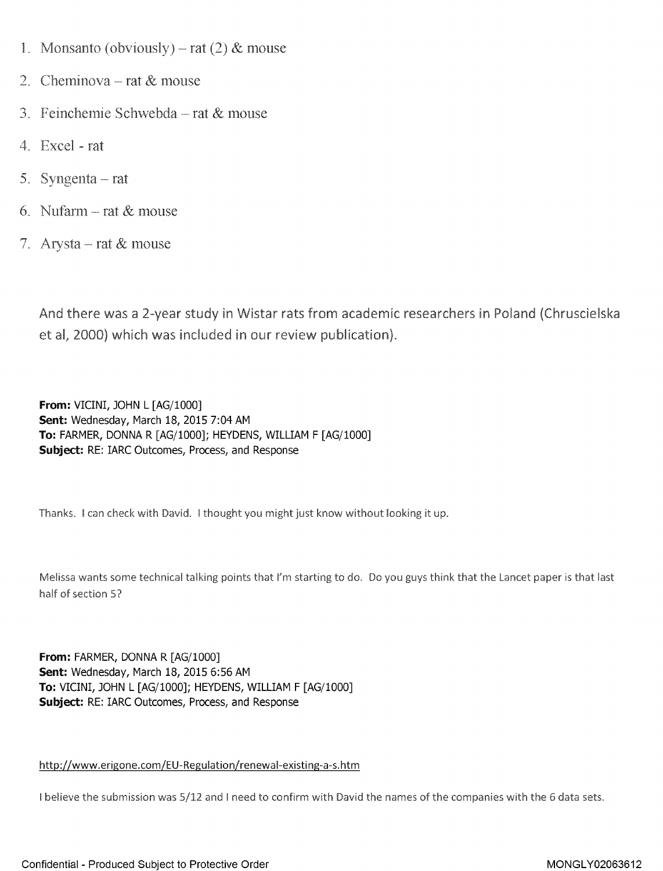- 1. Monsanto (obviously) rat  $(2)$  & mouse
- c; Cheminova ----- rat & mouse
- $3.$  Feinchemie Schwebda --- rat  $\&$  mouse
- 4. Excel rat
- 5. Syngenta  $-$  rat
- 6. Nufarm  $-$  rat  $\&$  mouse
- 7. Arysta rat  $&$  mouse

And there was a 2-year study in Wistar rats from academic researchers in Poland (Chruscielska et al, 2000} which was included in our review publication),

**From:** VICINI, JOHN L [AG/1000] **Sent:** Wednesday, March 18, 2015 7:04 AM **To:** FARMER, DONNA R [AG/1000]; HEYDENS, WILLIAM F [AG/1000] **Subject:** RE: IARC Outcomes, Process, and Response

Thanks, I can check with David, I thought you might just know without looking it up,

Melissa wants some technical talking points that I'm starting to do. Do you guys think that the Lancet paper is that last half of section 5?

**From: FARMER, DONNA R [AG/1000] Sent:** Wednesday, March 18, 2015 6:56 AM **To:** VICINI, JOHN L [AG/1000]; HEYDENS, WILLIAM F [AG/1000] **Subject:** RE: IARC Outcomes, Process, and Response

## http://www,erigone.com/EU-Regulation/renewal-existing-a-s.htm

I believe the submission was 5/12 and I need to confirm with David the names of the companies with the 6 data sets.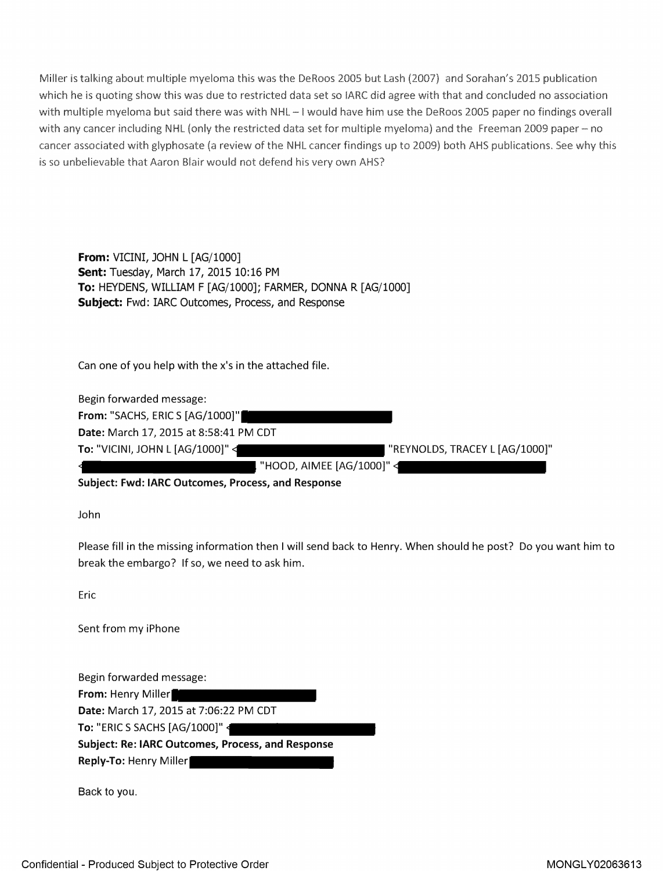Miller is talking about multiple myeloma this was the DeRoos 2005 but Lash (2007) and Sorahan's 2015 publication which he is quoting show this was due to restricted data set so IARC did agree with that and concluded no association with multiple myeloma but said there was with NHL-I would have him use the DeRoos 2005 paper no findings overall with any cancer including NHL (only the restricted data set for multiple myeloma) and the Freeman 2009 paper - no [cancer associated with glyphosate](https://www.baumhedlundlaw.com/toxic-tort-law/monsanto-roundup-lawsuit/) (a review of the NHL cancer findings up to 2.009) both AHS publications. See why this is so unbelievable that Aaron Blair would not defend his very own AHS?

**From:** VICINI, JOHN L [AG/1000] **Sent:** Tuesday, March 17, 2015 10:16 PM **To:** HEYDENS, WILLIAM F [AG/1000]; FARMER, DONNA R [AG/1000] **Subject:** Fwd: IARC Outcomes, Process, and Response

Can one of you help with the x's in the attached file.

Begin forwarded message: **From:** "SACHS, ERIC S [AG/1000]" **Date:** March 17, 2015 at 8:58:41 PM CDT To: "VICINI, JOHN L [AG/1000]" < The Mathematic State State State State State State State State State State State State State State State State State State State State State State State State State State State State State "HOOD, AIMEE [AG/1000]"

**Subject: Fwd: IARC Outcomes, Process, and Response** 

John

Please fill in the missing information then I will send back to Henry. When should he post? Do you want him to break the embargo? If so, we need to ask him.

Eric

Sent from my iPhone

Begin forwarded message: From: Henry Miller **Date:** March 17, 2015 at 7:06:22 PM CDT **To:** "ERIC S SACHS [AG/1000]" **Subject: Re: IARC Outcomes, Process, and Response Reply-To:** Henry Miller

Back to you.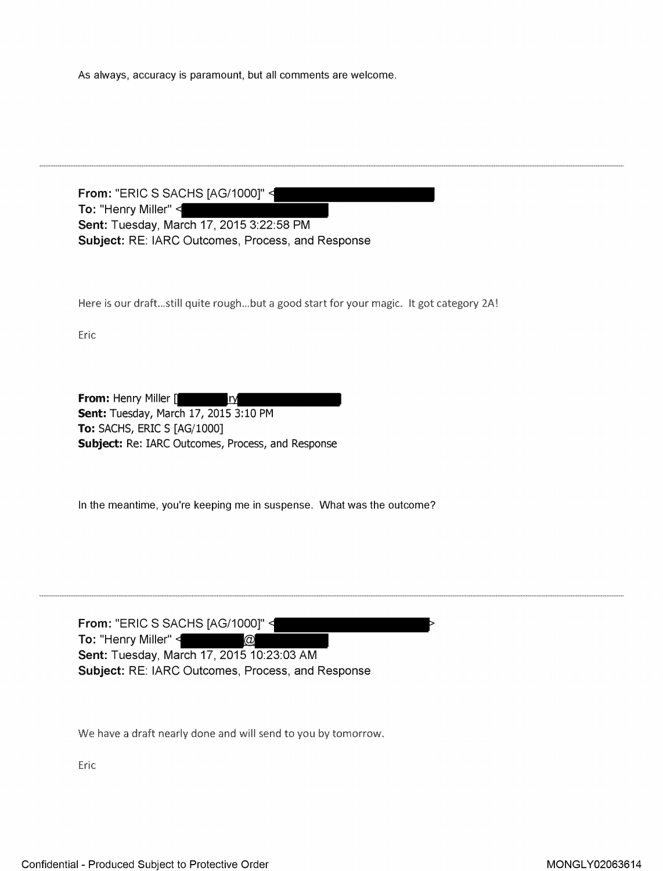As always, accuracy is paramount, but all comments are welcome.

From: "ERIC S SACHS [AG/1000]" < **To:** "Henry Miller" **Sent:** Tuesday, March 17, 2015 3:22:58 PM **Subject:** RE: IARC Outcomes, Process, and Response

Here is our draft...still quite rough...but a good start for your magic. It got category 2A!

Eric

**From: Henry Miller [**  $\mathbf{I}$ **Sent:** Tuesday, March 17, 2015 3:10 PM **To:** SACHS, ERIC S [AG/1000] **Subject:** Re: IARC Outcomes, Process, and Response

In the meantime, you're keeping me in suspense. What was the outcome?

From: "ERIC S SACHS [AG/1000]" < **To:** "Henry Miller"  $\circledcirc$ **Sent:** Tuesday, March 17, 2015 10:23:03 AM **Subject:** RE: IARC Outcomes, Process, and Response

We have a draft nearly done and will send to you by tomorrow.

Eric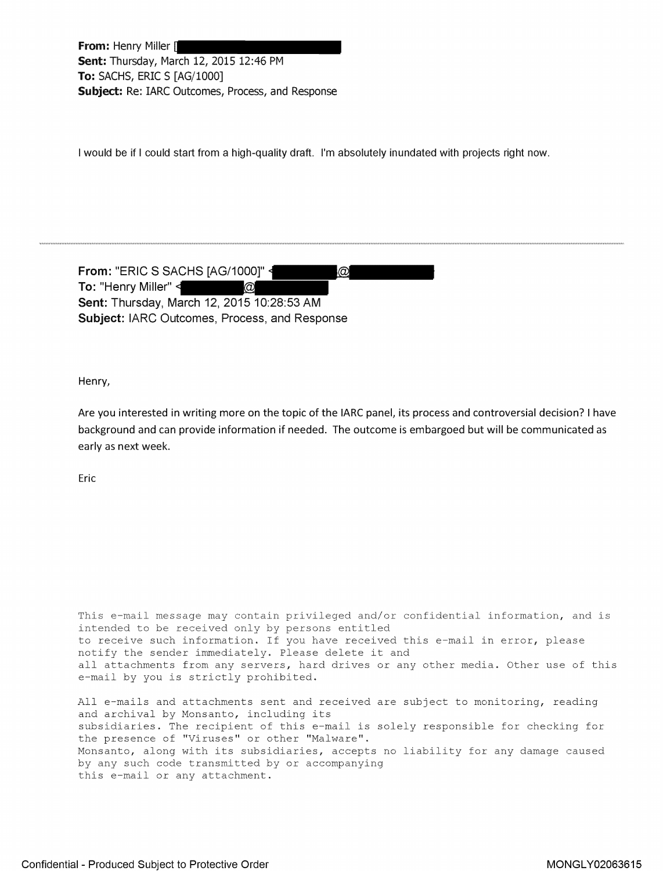From: Henry Miller [ Sent: Thursday, March 12, 2015 12:46 PM **To:** SACHS, ERIC S [AG/1000] **Subject:** Re: IARC Outcomes, Process, and Response

I would be if I could start from a high-quality draft. I'm absolutely inundated with projects right now.

From: "ERIC S SACHS [AG/1000]"  $\circledcirc$ **To:** "Henry Miller"  $\circleda$ **Sent:** Thursday, March 12, 2015 10:28:53 AM **Subject:** IARC Outcomes, Process, and Response

Henry,

Are you interested in writing more on the topic of the IARC panel, its process and controversial decision? I have background and can provide information if needed. The outcome is embargoed but will be communicated as early as next week.

Eric

This e-mail message may contain privileged and/or confidential information, and is intended to be received only by persons entitled to receive such information. If you have received this e-mail in error, please notify the sender immediately. Please delete it and all attachments from any servers, hard drives or any other media. Other use of this e-mail by you is strictly prohibited.

All e-mails and attachments sent and received are subject to monitoring, reading and archival by Monsanto, including its subsidiaries. The recipient of this e-mail is solely responsible for checking for the presence of "Viruses" or other "Malware". Monsanto, along with its subsidiaries, accepts no liability for any damage caused by any such code transmitted by or accompanying this e-mail or any attachment.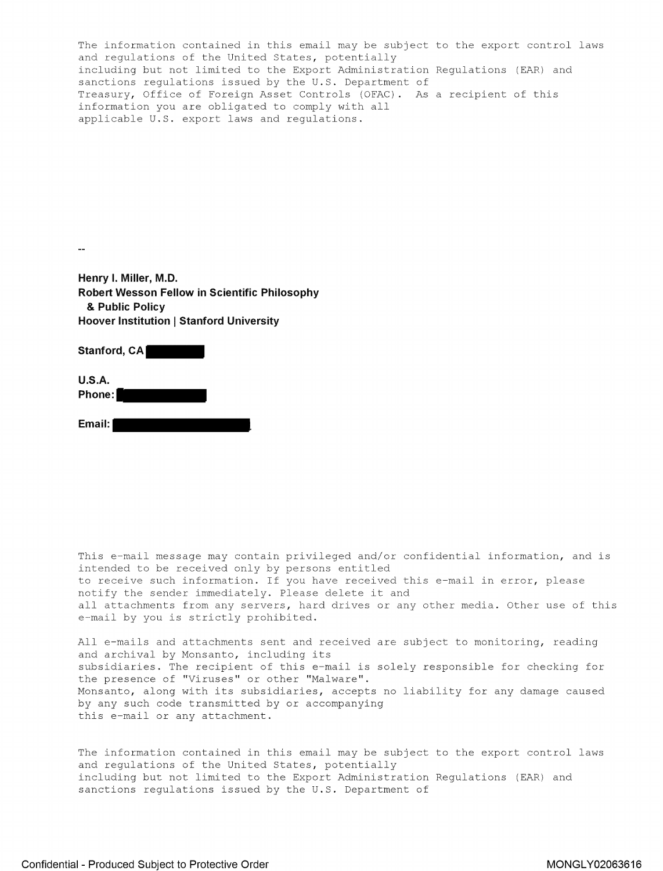The information contained in this email may be subject to the export control laws and regulations of the United States, potentially including but not limited to the Export Administration Regulations (EAR) and sanctions regulations issued by the U.S. Department of Treasury, Office of Foreign Asset Controls (OFAC). As a recipient of this information you are obligated to comply with all applicable U.S. export laws and regulations.

 $\sim$   $\sim$ 

**Henry I. Miller, M.D. Robert Wesson Fellow in Scientific Philosophy**  & **Public Policy Hoover Institution | Stanford University** 

Stanford, CA

**U.S.A. Phone:** 

**Email:** 

This e-mail message may contain privileged and/or confidential information, and is intended to be received only by persons entitled to receive such information. If you have received this e-mail in error, please notify the sender immediately. Please delete it and all attachments from any servers, hard drives or any other media. Other use of this e-mail by you is strictly prohibited.

All e-mails and attachments sent and received are subject to monitoring, reading and archival by Monsanto, including its subsidiaries. The recipient of this e-mail is solely responsible for checking for the presence of "Viruses" or other "Malware". Monsanto, along with its subsidiaries, accepts no liability for any damage caused by any such code transmitted by or accompanying this e-mail or any attachment.

The information contained in this email may be subject to the export control laws and regulations of the United States, potentially includinq but not limited to the Export Administration Requlations (EAR) and sanctions regulations issued by the U.S. Department of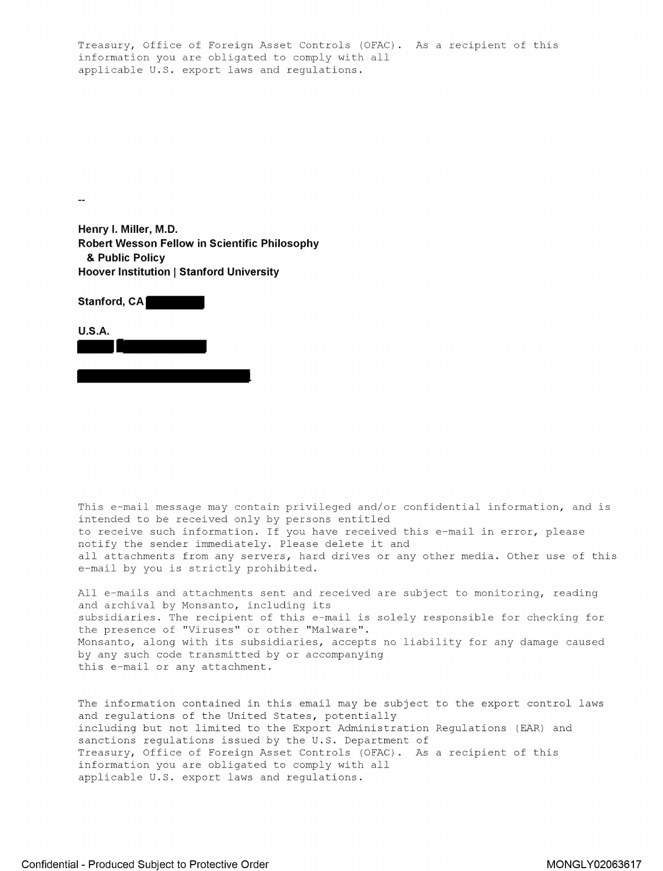Treasury, Office of Foreign Asset Controls (OFAC). As a recipient of this information you are obligated to comply with all applicable U.S. export laws and regulations.

**Henry I. Miller, M.D. Robert Wesson Fellow in Scientific Philosophy**  & **Public Policy Hoover Institution | Stanford University** 

| <b>HOOVER MISULATION</b>   OLAHIVIA OMIV       |  |
|------------------------------------------------|--|
| Stanford, CA                                   |  |
| <b>U.S.A.</b><br><b>The Contract of Street</b> |  |
|                                                |  |

 $\overline{\phantom{a}}$ 

This e-mail message may contain privileged and/or confidential information, and is intended to be received only by persons entitled to receive such information. If you have received this e-mail in error, please notify the sender immediately. Please delete it and all attachments from any servers, hard drives or any other media. Other use of this e-mail by you is strictly prohibited.

All e-mails and attachments sent and received are subject to monitoring, reading and archival by Monsanto, including its subsidiaries. The recipient of this e-mail is solely responsible for checking for the presence of "Viruses" or other "Malware". Monsanto, along with its subsidiaries, accepts no liability for any damage caused by any such code transmitted by or accompanying this e-mail or any attachment.

The information contained in this email may be subject to the export control laws and regulations of the United States, potentially including but not limited to the Export Administration Regulations (EAR) and sanctions regulations issued by the U.S. Department of Treasury, Office of Foreign Asset Controls (OFAC). As a recipient of this information you are obligated to comply with all applicable U.S. export laws and regulations.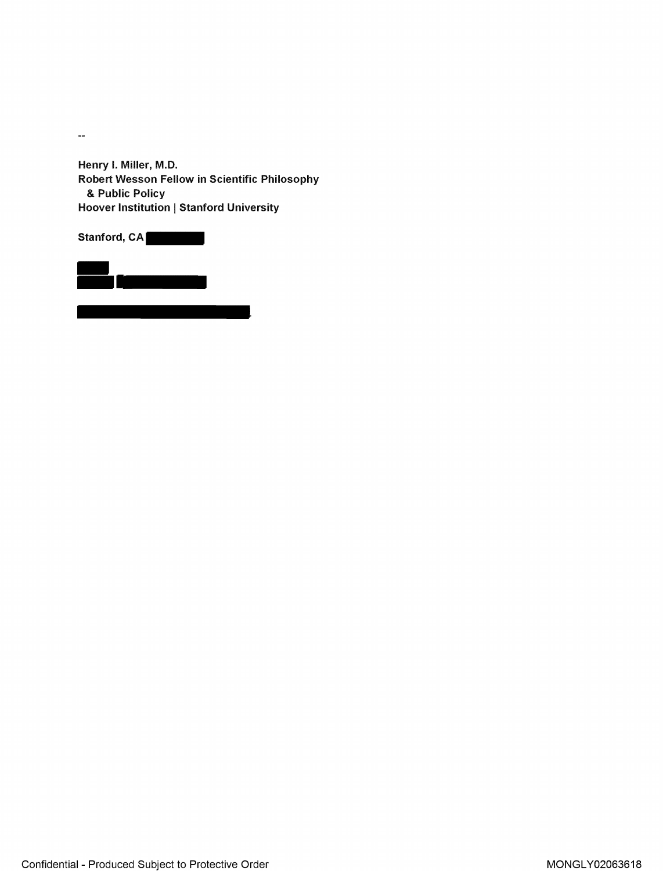$\mathbb{Z}^2$ 

**Henry** I. **Miller, M.D. Robert Wesson Fellow in Scientific Philosophy**  & **Public Policy Hoover Institution** I **Stanford University** 

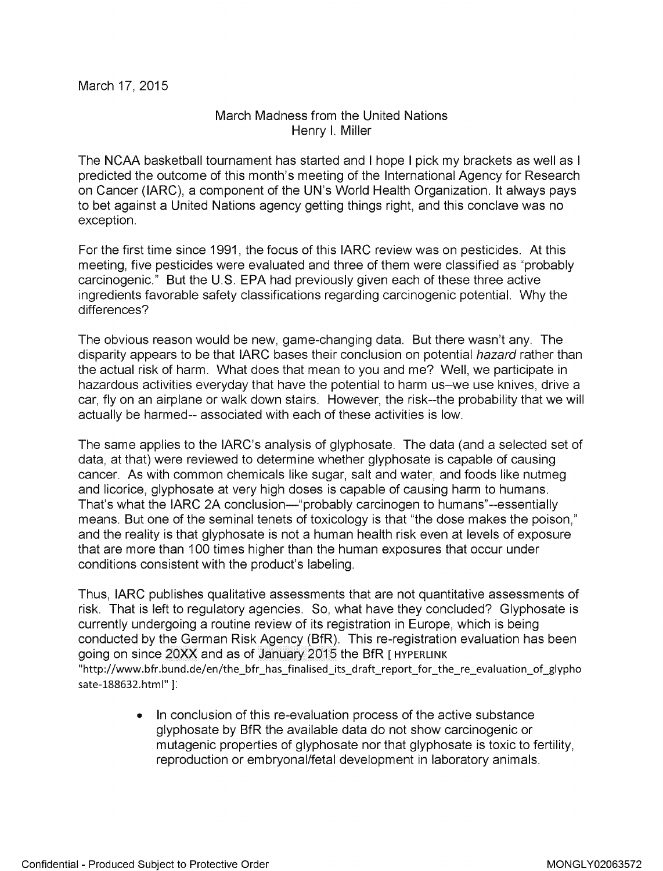## March Madness from the United Nations Henry I. Miller

The NCAA basketball tournament has started and I hope I pick my brackets as well as I predicted the outcome of this month's meeting of the International Agency for Research on Cancer (!ARC), a component of the UN's World Health Organization. It always pays to bet against a United Nations agency getting things right, and this conclave was no exception.

For the first time since 1991, the focus of this IARC review was on pesticides. At this meeting, five pesticides were evaluated and three of them were classified as "probably carcinogenic." But the U.S. EPA had previously given each of these three active ingredients favorable safety classifications regarding carcinogenic potential. Why the differences?

The obvious reason would be new, game-changing data. But there wasn't any. The disparity appears to be that IARC bases their conclusion on potential hazard rather than the actual risk of harm. What does that mean to you and me? Well, we participate in hazardous activities everyday that have the potential to harm us-we use knives, drive a car, fly on an airplane or walk down stairs. However, the risk--the probability that we will actually be harmed-- associated with each of these activities is low.

The same applies to the IARC's analysis of glyphosate. The data (and a selected set of data, at that) were reviewed to determine whether glyphosate is capable of causing cancer. As with common chemicals like sugar, salt and water, and foods like nutmeg and licorice, glyphosate at very high doses is capable of causing harm to humans. That's what the IARC 2A conclusion-"probably carcinogen to humans"--essentially means. But one of the seminal tenets of toxicology is that "the dose makes the poison," and the reality is that glyphosate is not a human health risk even at levels of exposure that are more than 100 times higher than the human exposures that occur under conditions consistent with the product's labeling.

Thus, IARC publishes qualitative assessments that are not quantitative assessments of risk. That is left to regulatory agencies. So, what have they concluded? Glyphosate is currently undergoing a routine review of its registration in Europe, which is being conducted by the German Risk Agency (BfR). This re-registration evaluation has been going on since 20XX and as of January 2015 the BfR [ HYPERLINK "http://www.bfr.bund.de/en/the\_bfr\_has\_finalised\_its\_draft\_report\_for\_the\_re\_evaluation\_of\_glypho sate-188632.html" 1:

> • In conclusion of this re-evaluation process of the active substance glyphosate by BfR the available data do not show carcinogenic or mutagenic properties of glyphosate nor that glyphosate is toxic to fertility, reproduction or embryonal/fetal development in laboratory animals.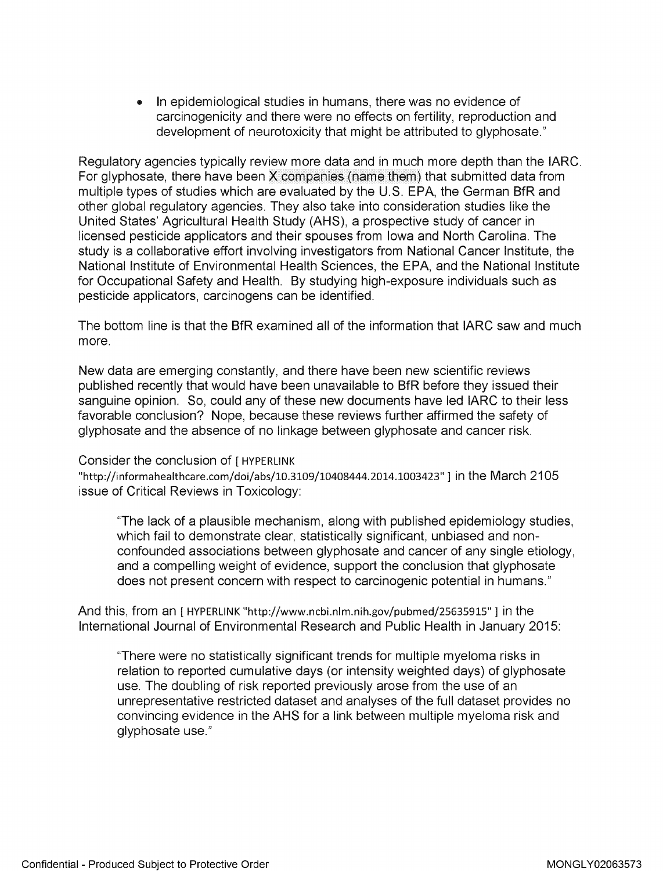In epidemiological studies in humans, there was no evidence of carcinogenicity and there were no effects on fertility, reproduction and development of neurotoxicity that might be attributed to glyphosate."

Regulatory agencies typically review more data and in much more depth than the IARC. For glyphosate, there have been X companies (name them) that submitted data from multiple types of studies which are evaluated by the U.S. EPA, the German BfR and other global regulatory agencies. They also take into consideration studies like the United States' Agricultural Health Study (AHS), a prospective study of cancer in licensed pesticide applicators and their spouses from Iowa and North Carolina. The study is a collaborative effort involving investigators from National Cancer Institute, the National Institute of Environmental Health Sciences, the EPA, and the National Institute for Occupational Safety and Health. By studying high-exposure individuals such as pesticide applicators, carcinogens can be identified.

The bottom line is that the BfR examined all of the information that IARC saw and much more.

New data are emerging constantly, and there have been new scientific reviews published recently that would have been unavailable to BfR before they issued their sanguine opinion. So, could any of these new documents have led IARC to their less favorable conclusion? Nope, because these reviews further affirmed the safety of glyphosate and the absence of no linkage between glyphosate and cancer risk.

## Consider the conclusion of [ HYPERLINK

"http://informahealthcare.com/doi/abs/10.3109/10408444.2014.1003423"] in the March 2105 issue of Critical Reviews in Toxicology:

"The lack of a plausible mechanism, along with published epidemiology studies, which fail to demonstrate clear, statistically significant, unbiased and nonconfounded associations between glyphosate and cancer of any single etiology, and a compelling weight of evidence, support the conclusion that glyphosate does not present concern with respect to carcinogenic potential in humans."

And this, from an [ HYPERLINK "http://www.ncbi.nlm.nih.gov/pubmed/25635915"] in the International Journal of Environmental Research and Public Health in January 2015:

"There were no statistically significant trends for multiple myeloma risks in relation to reported cumulative days (or intensity weighted days) of glyphosate use. The doubling of risk reported previously arose from the use of an unrepresentative restricted dataset and analyses of the full dataset provides no convincing evidence in the AHS for a link between multiple myeloma risk and glyphosate use."